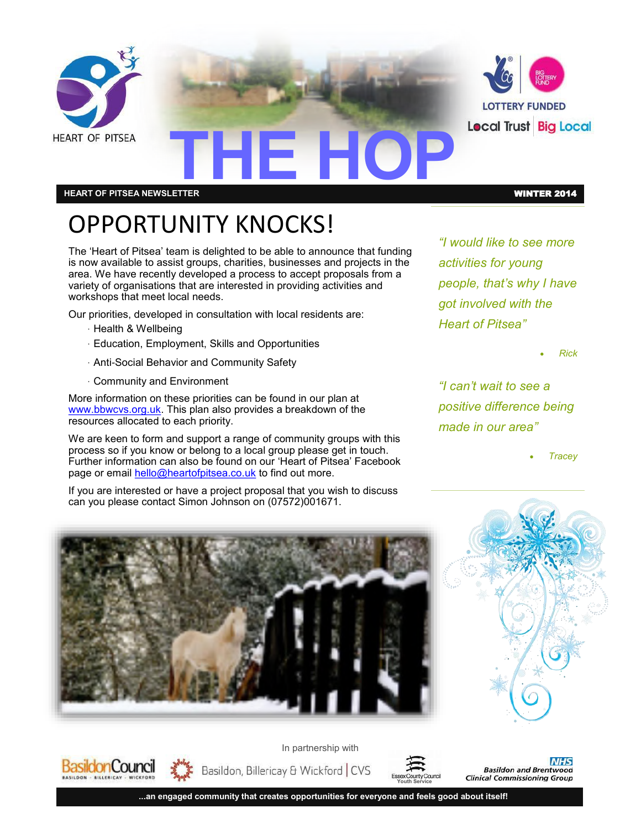

#### **HEART OF PITSEA NEWSLETTER** WINTER 2014

## OPPORTUNITY KNOCKS!

The 'Heart of Pitsea' team is delighted to be able to announce that funding is now available to assist groups, charities, businesses and projects in the area. We have recently developed a process to accept proposals from a variety of organisations that are interested in providing activities and workshops that meet local needs.

Our priorities, developed in consultation with local residents are:

· Health & Wellbeing

Basildon Council

- · Education, Employment, Skills and Opportunities
- · Anti-Social Behavior and Community Safety
- · Community and Environment

More information on these priorities can be found in our plan at [www.bbwcvs.org.uk.](http://www.bbwcvs.0rg.uk) This plan also provides a breakdown of the resources allocated to each priority.

We are keen to form and support a range of community groups with this process so if you know or belong to a local group please get in touch. Further information can also be found on our 'Heart of Pitsea' Facebook page or email [hello@heartofpitsea.co.uk](mailto:hello@heartofpitsea.co.uk) to find out more.

If you are interested or have a project proposal that you wish to discuss can you please contact Simon Johnson on (07572)001671.

*"I would like to see more activities for young people, that's why I have got involved with the Heart of Pitsea"*

*Rick*

*"I can't wait to see a positive difference being made in our area"*

*Tracey*





Basildon, Billericay & Wickford | CVS **Youth Service**

**...an engaged community that creates opportunities for everyone and feels good about itself!**

In partnership with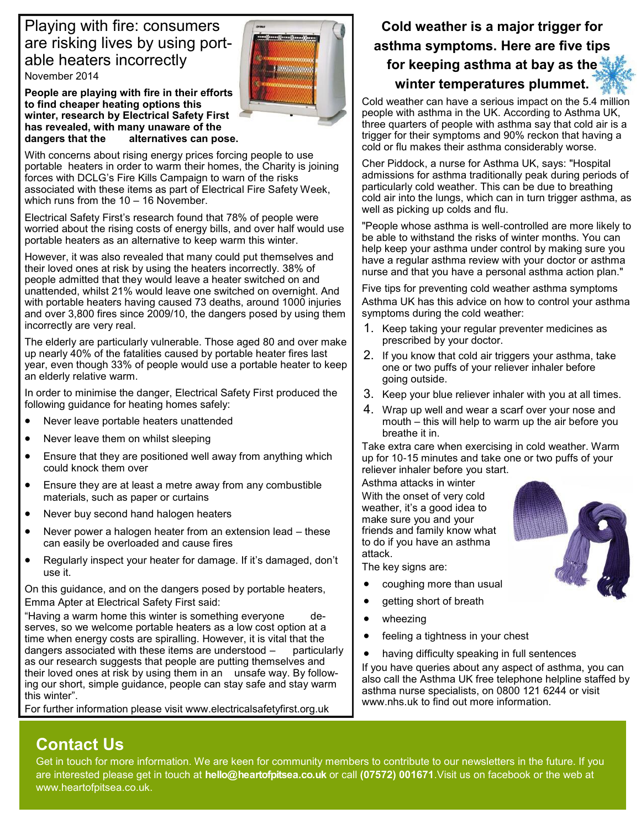#### Playing with fire: consumers are risking lives by using portable heaters incorrectly

November 2014

**People are playing with fire in their efforts to find cheaper heating options this winter, research by Electrical Safety First has revealed, with many unaware of the dangers that the alternatives can pose.**



With concerns about rising energy prices forcing people to use portable heaters in order to warm their homes, the Charity is joining forces with DCLG's Fire Kills Campaign to warn of the risks associated with these items as part of Electrical Fire Safety Week, which runs from the 10 – 16 November.

Electrical Safety First's research found that 78% of people were worried about the rising costs of energy bills, and over half would use portable heaters as an alternative to keep warm this winter.

However, it was also revealed that many could put themselves and their loved ones at risk by using the heaters incorrectly. 38% of people admitted that they would leave a heater switched on and unattended, whilst 21% would leave one switched on overnight. And with portable heaters having caused 73 deaths, around 1000 injuries and over 3,800 fires since 2009/10, the dangers posed by using them incorrectly are very real.

The elderly are particularly vulnerable. Those aged 80 and over make up nearly 40% of the fatalities caused by portable heater fires last year, even though 33% of people would use a portable heater to keep an elderly relative warm.

In order to minimise the danger, Electrical Safety First produced the following guidance for heating homes safely:

- Never leave portable heaters unattended
- Never leave them on whilst sleeping
- Ensure that they are positioned well away from anything which could knock them over
- Ensure they are at least a metre away from any combustible materials, such as paper or curtains
- Never buy second hand halogen heaters
- Never power a halogen heater from an extension lead these can easily be overloaded and cause fires
- Regularly inspect your heater for damage. If it's damaged, don't use it.

On this guidance, and on the dangers posed by portable heaters, Emma Apter at Electrical Safety First said:

"Having a warm home this winter is something everyone serves, so we welcome portable heaters as a low cost option at a time when energy costs are spiralling. However, it is vital that the dangers associated with these items are understood – particularly as our research suggests that people are putting themselves and their loved ones at risk by using them in an unsafe way. By following our short, simple guidance, people can stay safe and stay warm this winter".

For further information please visit www.electricalsafetyfirst.org.uk

#### **Cold weather is a major trigger for asthma symptoms. Here are five tips for keeping asthma at bay as the winter temperatures plummet.**

Cold weather can have a serious impact on the 5.4 million people with asthma in the UK. According to Asthma UK, three quarters of people with asthma say that cold air is a trigger for their symptoms and 90% reckon that having a cold or flu makes their asthma considerably worse.

Cher Piddock, a nurse for Asthma UK, says: "Hospital admissions for asthma traditionally peak during periods of particularly cold weather. This can be due to breathing cold air into the lungs, which can in turn trigger asthma, as well as picking up colds and flu.

"People whose asthma is well-controlled are more likely to be able to withstand the risks of winter months. You can help keep your asthma under control by making sure you have a regular asthma review with your doctor or asthma nurse and that you have a personal asthma action plan."

Five tips for preventing cold weather asthma symptoms Asthma UK has this advice on how to control your asthma symptoms during the cold weather:

- 1. Keep taking your regular preventer medicines as prescribed by your doctor.
- 2. If you know that cold air triggers your asthma, take one or two puffs of your reliever inhaler before going outside.
- 3. Keep your blue reliever inhaler with you at all times.
- 4. Wrap up well and wear a scarf over your nose and mouth – this will help to warm up the air before you breathe it in.

Take extra care when exercising in cold weather. Warm up for 10-15 minutes and take one or two puffs of your reliever inhaler before you start.

Asthma attacks in winter With the onset of very cold weather, it's a good idea to make sure you and your friends and family know what to do if you have an asthma attack.

The key signs are:

- coughing more than usual
- getting short of breath
- wheezing
- feeling a tightness in your chest
- having difficulty speaking in full sentences

If you have queries about any aspect of asthma, you can also call the Asthma UK free telephone helpline staffed by asthma nurse specialists, on 0800 121 6244 or visit www.nhs.uk to find out more information.

### **Contact Us**

Get in touch for more information. We are keen for community members to contribute to our newsletters in the future. If you are interested please get in touch at **hello@heartofpitsea.co.uk** or call **(07572) 001671**.Visit us on facebook or the web at www.heartofpitsea.co.uk.

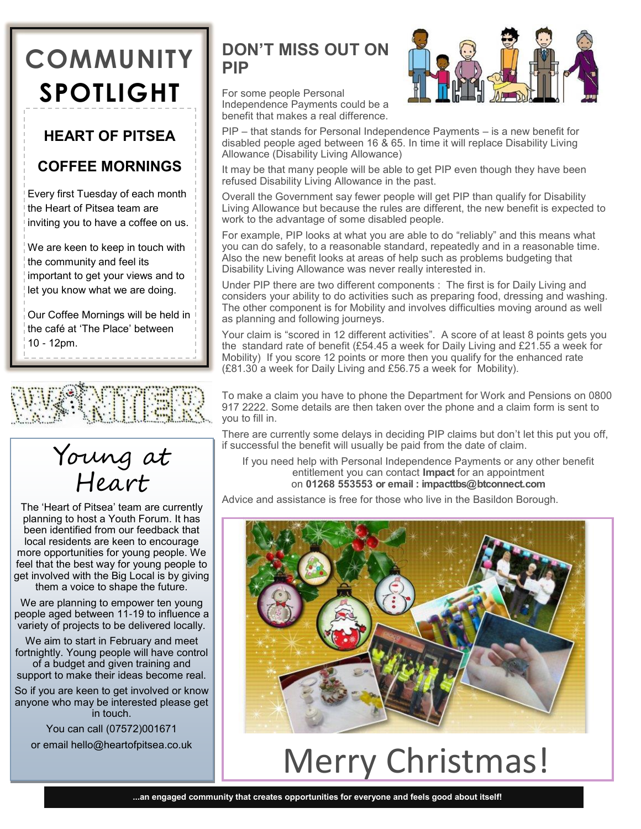## **COMMUNITY SPOTLIGHT**

#### **HEART OF PITSEA**

#### **COFFEE MORNINGS**

Every first Tuesday of each month the Heart of Pitsea team are inviting you to have a coffee on us.

We are keen to keep in touch with the community and feel its important to get your views and to let you know what we are doing.

Our Coffee Mornings will be held in the café at 'The Place' between 10 - 12pm.





The 'Heart of Pitsea' team are currently planning to host a Youth Forum. It has been identified from our feedback that local residents are keen to encourage more opportunities for young people. We feel that the best way for young people to get involved with the Big Local is by giving them a voice to shape the future.

We are planning to empower ten young people aged between 11-19 to influence a variety of projects to be delivered locally.

We aim to start in February and meet fortnightly. Young people will have control of a budget and given training and support to make their ideas become real.

So if you are keen to get involved or know anyone who may be interested please get in touch.

You can call (07572)001671

or email hello@heartofpitsea.co.uk

#### **DON'T MISS OUT ON PIP**

For some people Personal Independence Payments could be a benefit that makes a real difference.

PIP – that stands for Personal Independence Payments – is a new benefit for disabled people aged between 16 & 65. In time it will replace Disability Living Allowance (Disability Living Allowance)

It may be that many people will be able to get PIP even though they have been refused Disability Living Allowance in the past.

Overall the Government say fewer people will get PIP than qualify for Disability Living Allowance but because the rules are different, the new benefit is expected to work to the advantage of some disabled people.

For example, PIP looks at what you are able to do "reliably" and this means what you can do safely, to a reasonable standard, repeatedly and in a reasonable time. Also the new benefit looks at areas of help such as problems budgeting that Disability Living Allowance was never really interested in.

Under PIP there are two different components : The first is for Daily Living and considers your ability to do activities such as preparing food, dressing and washing. The other component is for Mobility and involves difficulties moving around as well as planning and following journeys.

Your claim is "scored in 12 different activities". A score of at least 8 points gets you the standard rate of benefit (£54.45 a week for Daily Living and £21.55 a week for Mobility) If you score 12 points or more then you qualify for the enhanced rate (£81.30 a week for Daily Living and £56.75 a week for Mobility).

To make a claim you have to phone the Department for Work and Pensions on 0800 917 2222. Some details are then taken over the phone and a claim form is sent to you to fill in.

There are currently some delays in deciding PIP claims but don't let this put you off, if successful the benefit will usually be paid from the date of claim.

If you need help with Personal Independence Payments or any other benefit entitlement you can contact **Impact** for an appointment on **01268 553553 or email : impacttbs@btconnect.com**

Advice and assistance is free for those who live in the Basildon Borough.



## Merry Christmas!